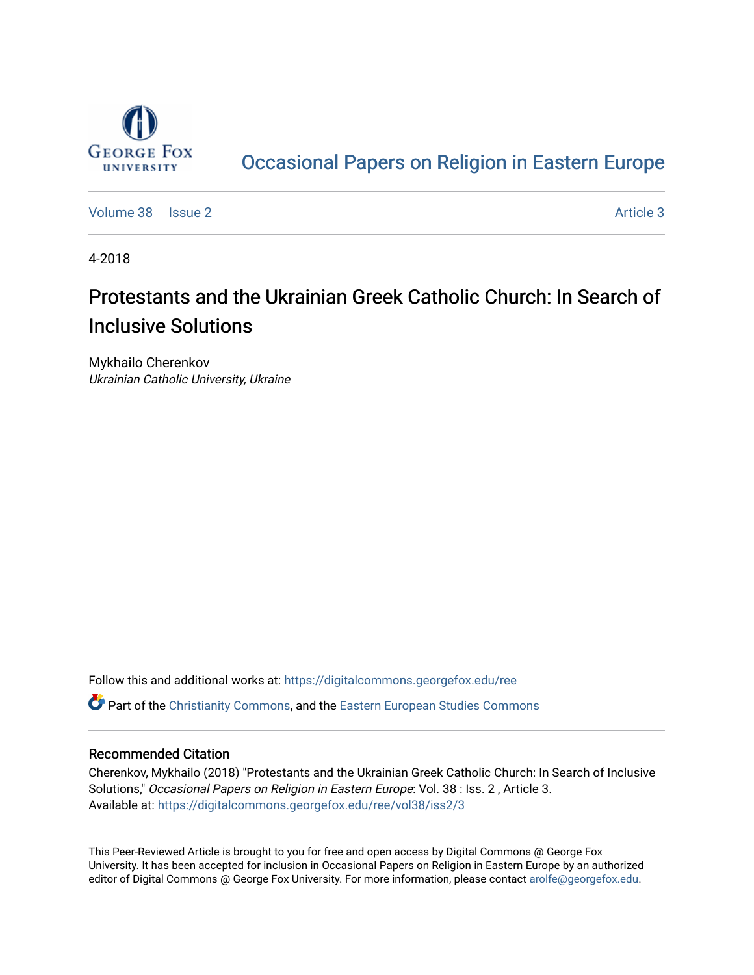

## [Occasional Papers on Religion in Eastern Europe](https://digitalcommons.georgefox.edu/ree)

[Volume 38](https://digitalcommons.georgefox.edu/ree/vol38) | [Issue 2](https://digitalcommons.georgefox.edu/ree/vol38/iss2) [Article 3](https://digitalcommons.georgefox.edu/ree/vol38/iss2/3) Article 3

4-2018

# Protestants and the Ukrainian Greek Catholic Church: In Search of Inclusive Solutions

Mykhailo Cherenkov Ukrainian Catholic University, Ukraine

Follow this and additional works at: [https://digitalcommons.georgefox.edu/ree](https://digitalcommons.georgefox.edu/ree?utm_source=digitalcommons.georgefox.edu%2Free%2Fvol38%2Fiss2%2F3&utm_medium=PDF&utm_campaign=PDFCoverPages)  **C** Part of the [Christianity Commons,](http://network.bepress.com/hgg/discipline/1181?utm_source=digitalcommons.georgefox.edu%2Free%2Fvol38%2Fiss2%2F3&utm_medium=PDF&utm_campaign=PDFCoverPages) and the [Eastern European Studies Commons](http://network.bepress.com/hgg/discipline/362?utm_source=digitalcommons.georgefox.edu%2Free%2Fvol38%2Fiss2%2F3&utm_medium=PDF&utm_campaign=PDFCoverPages)

### Recommended Citation

Cherenkov, Mykhailo (2018) "Protestants and the Ukrainian Greek Catholic Church: In Search of Inclusive Solutions," Occasional Papers on Religion in Eastern Europe: Vol. 38 : Iss. 2 , Article 3. Available at: [https://digitalcommons.georgefox.edu/ree/vol38/iss2/3](https://digitalcommons.georgefox.edu/ree/vol38/iss2/3?utm_source=digitalcommons.georgefox.edu%2Free%2Fvol38%2Fiss2%2F3&utm_medium=PDF&utm_campaign=PDFCoverPages) 

This Peer-Reviewed Article is brought to you for free and open access by Digital Commons @ George Fox University. It has been accepted for inclusion in Occasional Papers on Religion in Eastern Europe by an authorized editor of Digital Commons @ George Fox University. For more information, please contact [arolfe@georgefox.edu.](mailto:arolfe@georgefox.edu)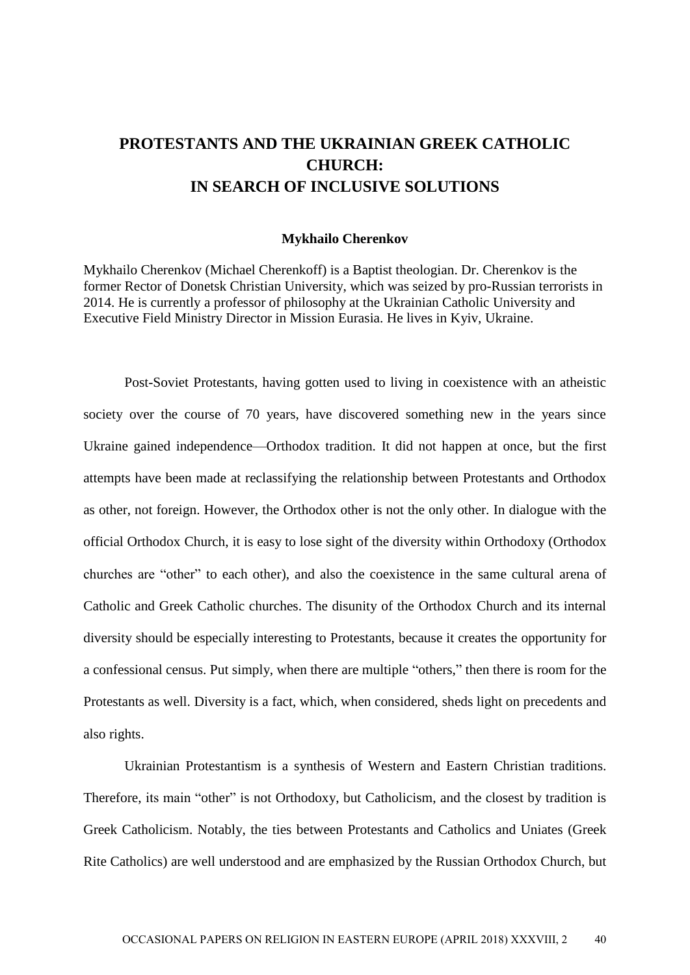## **PROTESTANTS AND THE UKRAINIAN GREEK CATHOLIC CHURCH: IN SEARCH OF INCLUSIVE SOLUTIONS**

#### **Mykhailo Cherenkov**

Mykhailo Cherenkov (Michael Cherenkoff) is a Baptist theologian. Dr. Cherenkov is the former Rector of Donetsk Christian University, which was seized by pro-Russian terrorists in 2014. He is currently a professor of philosophy at the Ukrainian Catholic University and Executive Field Ministry Director in Mission Eurasia. He lives in Kyiv, Ukraine.

Post-Soviet Protestants, having gotten used to living in coexistence with an atheistic society over the course of 70 years, have discovered something new in the years since Ukraine gained independence—Orthodox tradition. It did not happen at once, but the first attempts have been made at reclassifying the relationship between Protestants and Orthodox as other, not foreign. However, the Orthodox other is not the only other. In dialogue with the official Orthodox Church, it is easy to lose sight of the diversity within Orthodoxy (Orthodox churches are "other" to each other), and also the coexistence in the same cultural arena of Catholic and Greek Catholic churches. The disunity of the Orthodox Church and its internal diversity should be especially interesting to Protestants, because it creates the opportunity for a confessional census. Put simply, when there are multiple "others," then there is room for the Protestants as well. Diversity is a fact, which, when considered, sheds light on precedents and also rights.

Ukrainian Protestantism is a synthesis of Western and Eastern Christian traditions. Therefore, its main "other" is not Orthodoxy, but Catholicism, and the closest by tradition is Greek Catholicism. Notably, the ties between Protestants and Catholics and Uniates (Greek Rite Catholics) are well understood and are emphasized by the Russian Orthodox Church, but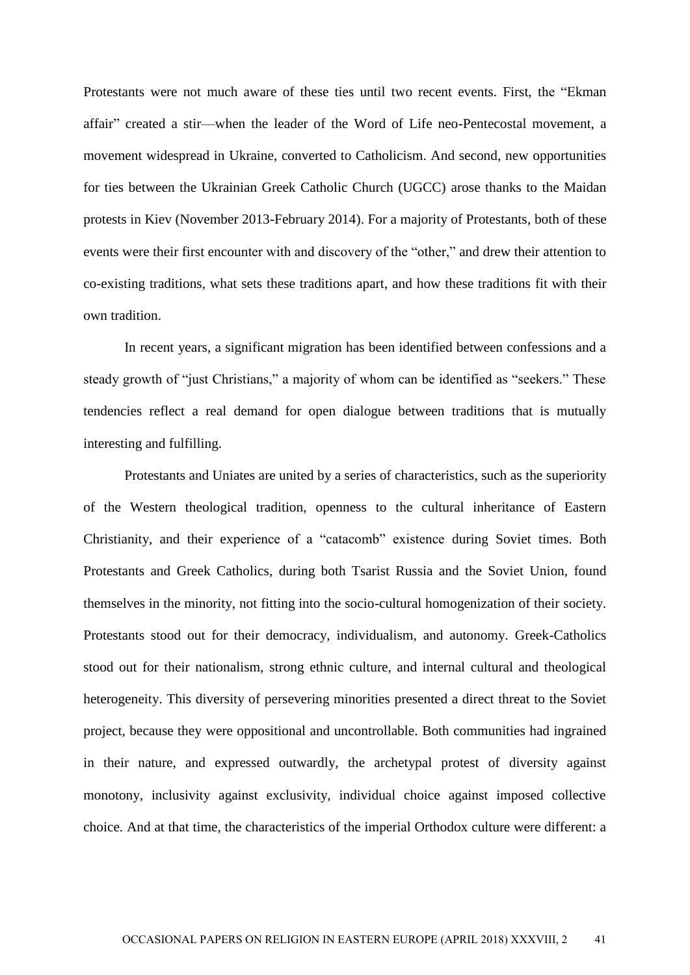Protestants were not much aware of these ties until two recent events. First, the "Ekman affair" created a stir—when the leader of the Word of Life neo-Pentecostal movement, a movement widespread in Ukraine, converted to Catholicism. And second, new opportunities for ties between the Ukrainian Greek Catholic Church (UGCC) arose thanks to the Maidan protests in Kiev (November 2013-February 2014). For a majority of Protestants, both of these events were their first encounter with and discovery of the "other," and drew their attention to co-existing traditions, what sets these traditions apart, and how these traditions fit with their own tradition.

In recent years, a significant migration has been identified between confessions and a steady growth of "just Christians," a majority of whom can be identified as "seekers." These tendencies reflect a real demand for open dialogue between traditions that is mutually interesting and fulfilling.

Protestants and Uniates are united by a series of characteristics, such as the superiority of the Western theological tradition, openness to the cultural inheritance of Eastern Christianity, and their experience of a "catacomb" existence during Soviet times. Both Protestants and Greek Catholics, during both Tsarist Russia and the Soviet Union, found themselves in the minority, not fitting into the socio-cultural homogenization of their society. Protestants stood out for their democracy, individualism, and autonomy. Greek-Catholics stood out for their nationalism, strong ethnic culture, and internal cultural and theological heterogeneity. This diversity of persevering minorities presented a direct threat to the Soviet project, because they were oppositional and uncontrollable. Both communities had ingrained in their nature, and expressed outwardly, the archetypal protest of diversity against monotony, inclusivity against exclusivity, individual choice against imposed collective choice. And at that time, the characteristics of the imperial Orthodox culture were different: a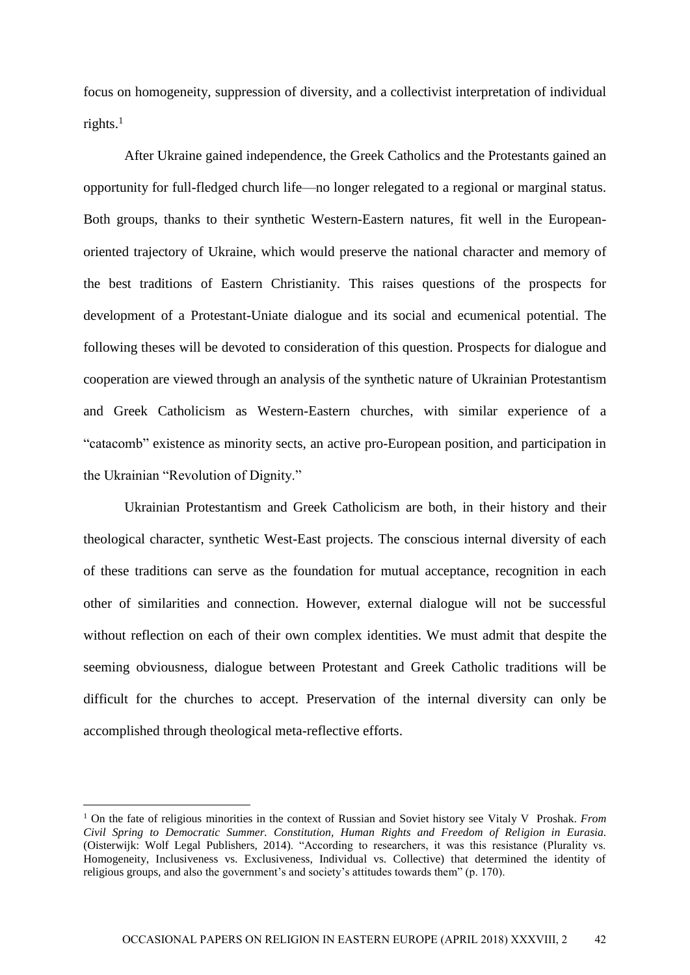focus on homogeneity, suppression of diversity, and a collectivist interpretation of individual rights. $<sup>1</sup>$ </sup>

After Ukraine gained independence, the Greek Catholics and the Protestants gained an opportunity for full-fledged church life—no longer relegated to a regional or marginal status. Both groups, thanks to their synthetic Western-Eastern natures, fit well in the Europeanoriented trajectory of Ukraine, which would preserve the national character and memory of the best traditions of Eastern Christianity. This raises questions of the prospects for development of a Protestant-Uniate dialogue and its social and ecumenical potential. The following theses will be devoted to consideration of this question. Prospects for dialogue and cooperation are viewed through an analysis of the synthetic nature of Ukrainian Protestantism and Greek Catholicism as Western-Eastern churches, with similar experience of a "catacomb" existence as minority sects, an active pro-European position, and participation in the Ukrainian "Revolution of Dignity."

Ukrainian Protestantism and Greek Catholicism are both, in their history and their theological character, synthetic West-East projects. The conscious internal diversity of each of these traditions can serve as the foundation for mutual acceptance, recognition in each other of similarities and connection. However, external dialogue will not be successful without reflection on each of their own complex identities. We must admit that despite the seeming obviousness, dialogue between Protestant and Greek Catholic traditions will be difficult for the churches to accept. Preservation of the internal diversity can only be accomplished through theological meta-reflective efforts.

<sup>1</sup> On the fate of religious minorities in the context of Russian and Soviet history see Vitaly V Proshak. *From Civil Spring to Democratic Summer. Constitution, Human Rights and Freedom of Religion in Eurasia.* (Oisterwijk: Wolf Legal Publishers, 2014). "According to researchers, it was this resistance (Plurality vs. Homogeneity, Inclusiveness vs. Exclusiveness, Individual vs. Collective) that determined the identity of religious groups, and also the government's and society's attitudes towards them" (p. 170).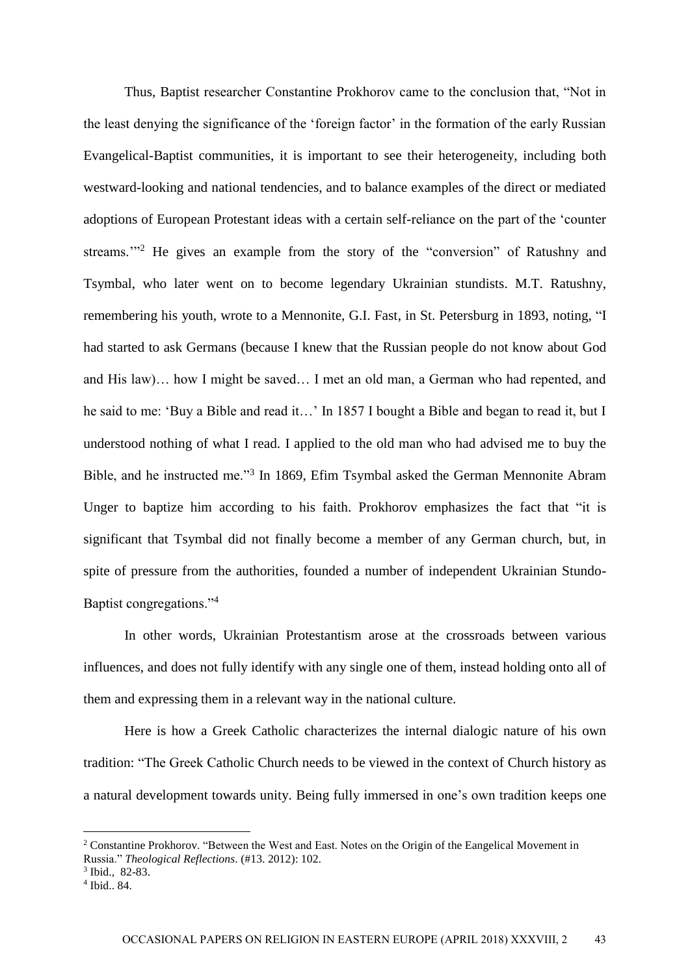Thus, Baptist researcher Constantine Prokhorov came to the conclusion that, "Not in the least denying the significance of the 'foreign factor' in the formation of the early Russian Evangelical-Baptist communities, it is important to see their heterogeneity, including both westward-looking and national tendencies, and to balance examples of the direct or mediated adoptions of European Protestant ideas with a certain self-reliance on the part of the 'counter streams."<sup>2</sup> He gives an example from the story of the "conversion" of Ratushny and Tsymbal, who later went on to become legendary Ukrainian stundists. M.T. Ratushny, remembering his youth, wrote to a Mennonite, G.I. Fast, in St. Petersburg in 1893, noting, "I had started to ask Germans (because I knew that the Russian people do not know about God and His law)… how I might be saved… I met an old man, a German who had repented, and he said to me: 'Buy a Bible and read it...' In 1857 I bought a Bible and began to read it, but I understood nothing of what I read. I applied to the old man who had advised me to buy the Bible, and he instructed me."<sup>3</sup> In 1869, Efim Tsymbal asked the German Mennonite Abram Unger to baptize him according to his faith. Prokhorov emphasizes the fact that "it is significant that Tsymbal did not finally become a member of any German church, but, in spite of pressure from the authorities, founded a number of independent Ukrainian Stundo-Baptist congregations."<sup>4</sup>

In other words, Ukrainian Protestantism arose at the crossroads between various influences, and does not fully identify with any single one of them, instead holding onto all of them and expressing them in a relevant way in the national culture.

Here is how a Greek Catholic characterizes the internal dialogic nature of his own tradition: "The Greek Catholic Church needs to be viewed in the context of Church history as a natural development towards unity. Being fully immersed in one's own tradition keeps one

<sup>2</sup> Constantine Prokhorov. "Between the West and East. Notes on the Origin of the Eangelical Movement in Russia." *Theological Reflections*. (#13. 2012): 102.

<sup>3</sup> Ibid., 82-83.

<sup>4</sup> Ibid.. 84.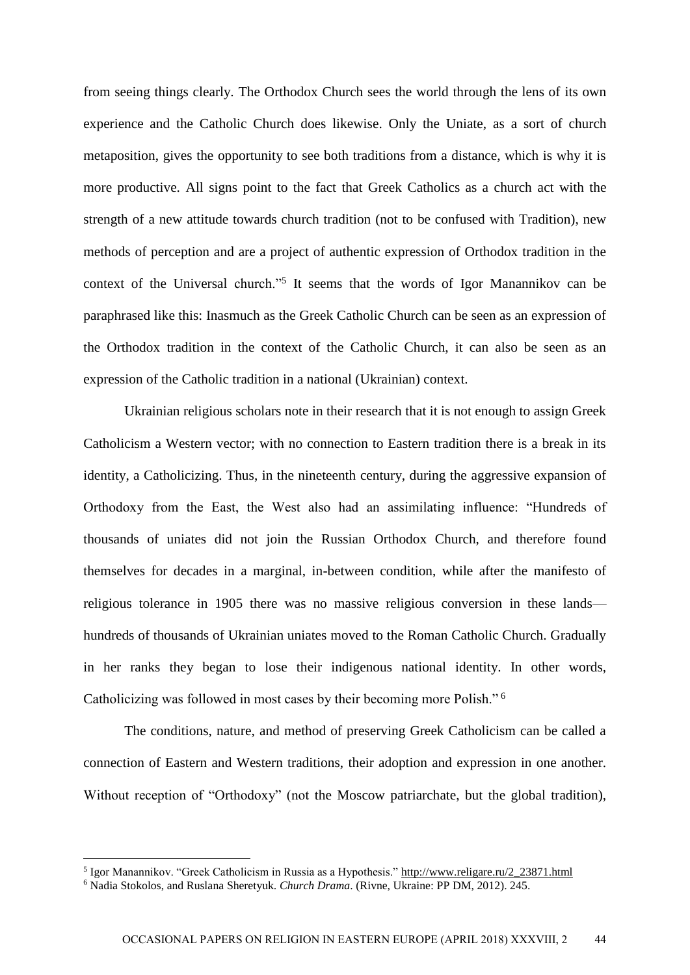from seeing things clearly. The Orthodox Church sees the world through the lens of its own experience and the Catholic Church does likewise. Only the Uniate, as a sort of church metaposition, gives the opportunity to see both traditions from a distance, which is why it is more productive. All signs point to the fact that Greek Catholics as a church act with the strength of a new attitude towards church tradition (not to be confused with Tradition), new methods of perception and are a project of authentic expression of Orthodox tradition in the context of the Universal church."<sup>5</sup> It seems that the words of Igor Manannikov can be paraphrased like this: Inasmuch as the Greek Catholic Church can be seen as an expression of the Orthodox tradition in the context of the Catholic Church, it can also be seen as an expression of the Catholic tradition in a national (Ukrainian) context.

Ukrainian religious scholars note in their research that it is not enough to assign Greek Catholicism a Western vector; with no connection to Eastern tradition there is a break in its identity, a Catholicizing. Thus, in the nineteenth century, during the aggressive expansion of Orthodoxy from the East, the West also had an assimilating influence: "Hundreds of thousands of uniates did not join the Russian Orthodox Church, and therefore found themselves for decades in a marginal, in-between condition, while after the manifesto of religious tolerance in 1905 there was no massive religious conversion in these lands hundreds of thousands of Ukrainian uniates moved to the Roman Catholic Church. Gradually in her ranks they began to lose their indigenous national identity. In other words, Catholicizing was followed in most cases by their becoming more Polish." <sup>6</sup>

The conditions, nature, and method of preserving Greek Catholicism can be called a connection of Eastern and Western traditions, their adoption and expression in one another. Without reception of "Orthodoxy" (not the Moscow patriarchate, but the global tradition),

<sup>&</sup>lt;sup>5</sup> Igor Manannikov. "Greek Catholicism in Russia as a Hypothesis." [http://www.religare.ru/2\\_23871.html](http://www.religare.ru/2_23871.html)

<sup>6</sup> Nadia Stokolos, and Ruslana Sheretyuk. *Church Drama*. (Rivne, Ukraine: PP DM, 2012). 245.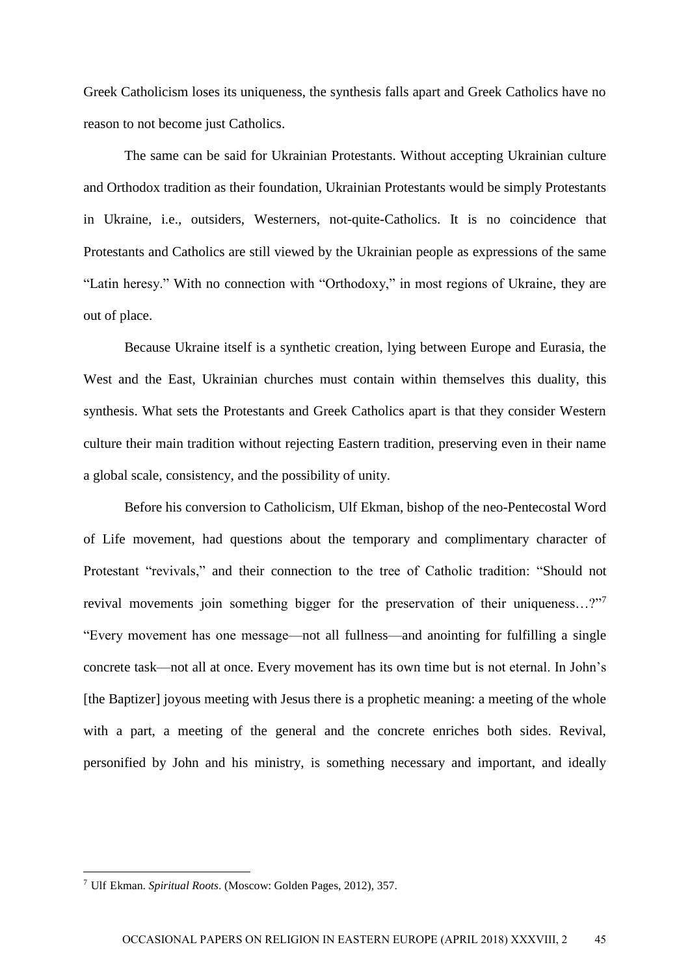Greek Catholicism loses its uniqueness, the synthesis falls apart and Greek Catholics have no reason to not become just Catholics.

The same can be said for Ukrainian Protestants. Without accepting Ukrainian culture and Orthodox tradition as their foundation, Ukrainian Protestants would be simply Protestants in Ukraine, i.e., outsiders, Westerners, not-quite-Catholics. It is no coincidence that Protestants and Catholics are still viewed by the Ukrainian people as expressions of the same "Latin heresy." With no connection with "Orthodoxy," in most regions of Ukraine, they are out of place.

Because Ukraine itself is a synthetic creation, lying between Europe and Eurasia, the West and the East, Ukrainian churches must contain within themselves this duality, this synthesis. What sets the Protestants and Greek Catholics apart is that they consider Western culture their main tradition without rejecting Eastern tradition, preserving even in their name a global scale, consistency, and the possibility of unity.

Before his conversion to Catholicism, Ulf Ekman, bishop of the neo-Pentecostal Word of Life movement, had questions about the temporary and complimentary character of Protestant "revivals," and their connection to the tree of Catholic tradition: "Should not revival movements join something bigger for the preservation of their uniqueness…?"<sup>7</sup> "Every movement has one message—not all fullness—and anointing for fulfilling a single concrete task—not all at once. Every movement has its own time but is not eternal. In John's [the Baptizer] joyous meeting with Jesus there is a prophetic meaning: a meeting of the whole with a part, a meeting of the general and the concrete enriches both sides. Revival, personified by John and his ministry, is something necessary and important, and ideally

<sup>7</sup> Ulf Ekman. *Spiritual Roots*. (Мoscow: Golden Pages, 2012), 357.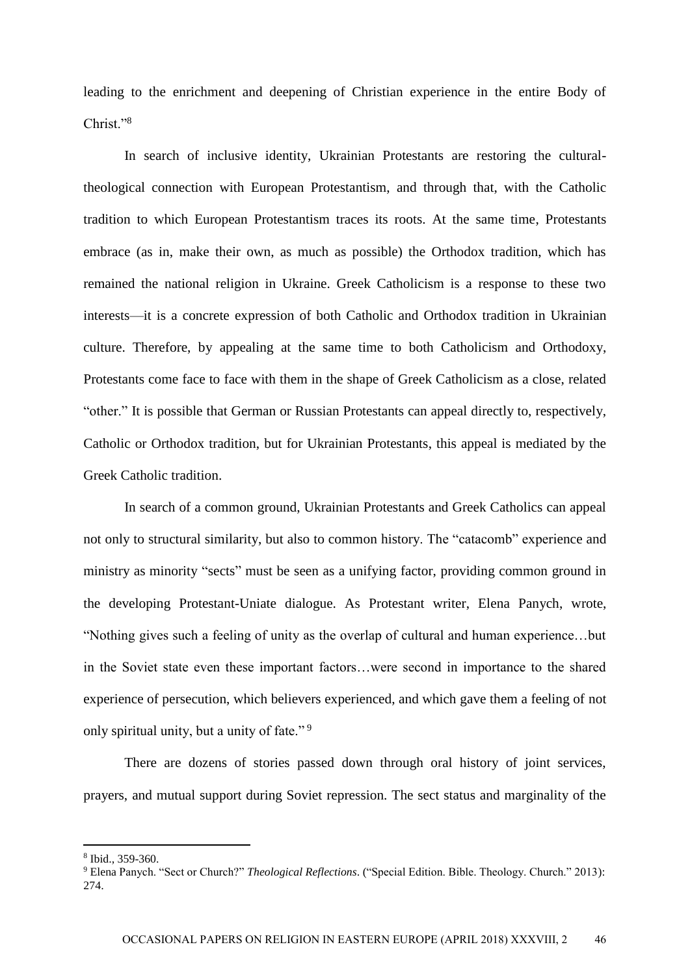leading to the enrichment and deepening of Christian experience in the entire Body of Christ."<sup>8</sup>

In search of inclusive identity, Ukrainian Protestants are restoring the culturaltheological connection with European Protestantism, and through that, with the Catholic tradition to which European Protestantism traces its roots. At the same time, Protestants embrace (as in, make their own, as much as possible) the Orthodox tradition, which has remained the national religion in Ukraine. Greek Catholicism is a response to these two interests—it is a concrete expression of both Catholic and Orthodox tradition in Ukrainian culture. Therefore, by appealing at the same time to both Catholicism and Orthodoxy, Protestants come face to face with them in the shape of Greek Catholicism as a close, related "other." It is possible that German or Russian Protestants can appeal directly to, respectively, Catholic or Orthodox tradition, but for Ukrainian Protestants, this appeal is mediated by the Greek Catholic tradition.

In search of a common ground, Ukrainian Protestants and Greek Catholics can appeal not only to structural similarity, but also to common history. The "catacomb" experience and ministry as minority "sects" must be seen as a unifying factor, providing common ground in the developing Protestant-Uniate dialogue. As Protestant writer, Elena Panych, wrote, "Nothing gives such a feeling of unity as the overlap of cultural and human experience…but in the Soviet state even these important factors…were second in importance to the shared experience of persecution, which believers experienced, and which gave them a feeling of not only spiritual unity, but a unity of fate." <sup>9</sup>

There are dozens of stories passed down through oral history of joint services, prayers, and mutual support during Soviet repression. The sect status and marginality of the

<sup>8</sup> Ibid., 359-360.

<sup>9</sup> Elena Panych. "Sect or Church?" *Theological Reflections*. ("Special Edition. Bible. Theology. Church." 2013): 274.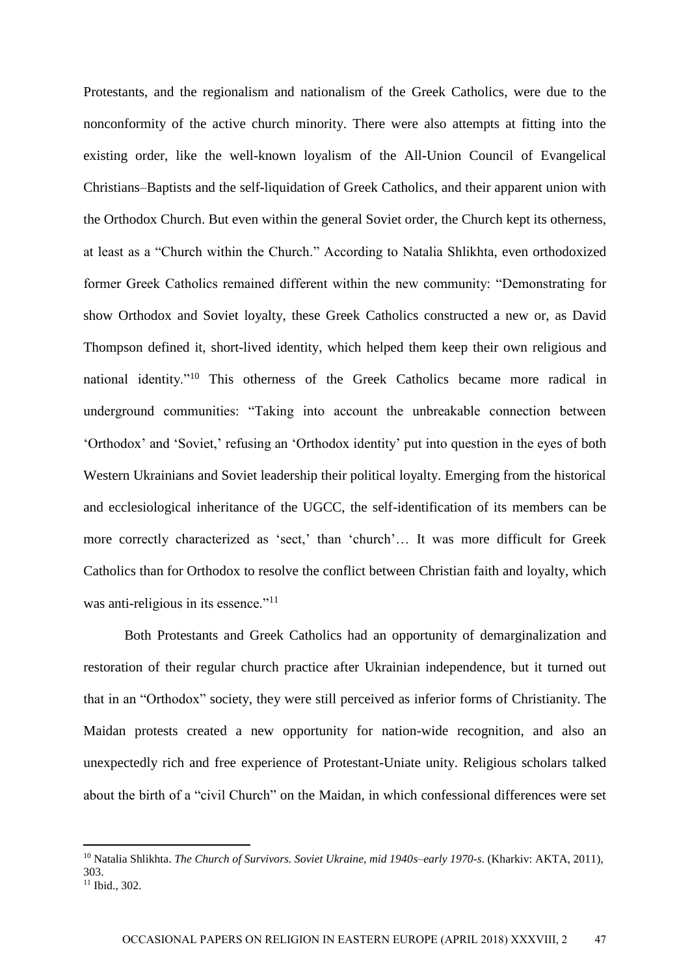Protestants, and the regionalism and nationalism of the Greek Catholics, were due to the nonconformity of the active church minority. There were also attempts at fitting into the existing order, like the well-known loyalism of the All-Union Council of Evangelical Christians–Baptists and the self-liquidation of Greek Catholics, and their apparent union with the Orthodox Church. But even within the general Soviet order, the Church kept its otherness, at least as a "Church within the Church." According to Natalia Shlikhta, even orthodoxized former Greek Catholics remained different within the new community: "Demonstrating for show Orthodox and Soviet loyalty, these Greek Catholics constructed a new or, as David Thompson defined it, short-lived identity, which helped them keep their own religious and national identity."<sup>10</sup> This otherness of the Greek Catholics became more radical in underground communities: "Taking into account the unbreakable connection between 'Orthodox' and 'Soviet,' refusing an 'Orthodox identity' put into question in the eyes of both Western Ukrainians and Soviet leadership their political loyalty. Emerging from the historical and ecclesiological inheritance of the UGCC, the self-identification of its members can be more correctly characterized as 'sect,' than 'church'… It was more difficult for Greek Catholics than for Orthodox to resolve the conflict between Christian faith and loyalty, which was anti-religious in its essence."<sup>11</sup>

Both Protestants and Greek Catholics had an opportunity of demarginalization and restoration of their regular church practice after Ukrainian independence, but it turned out that in an "Orthodox" society, they were still perceived as inferior forms of Christianity. The Maidan protests created a new opportunity for nation-wide recognition, and also an unexpectedly rich and free experience of Protestant-Uniate unity. Religious scholars talked about the birth of a "civil Church" on the Maidan, in which confessional differences were set

<sup>10</sup> Natalia Shlikhta. *The Church of Survivors. Soviet Ukraine, mid 1940s–early 1970-s*. (Kharkiv: AKTA, 2011), 303.  $11$  Ibid., 302.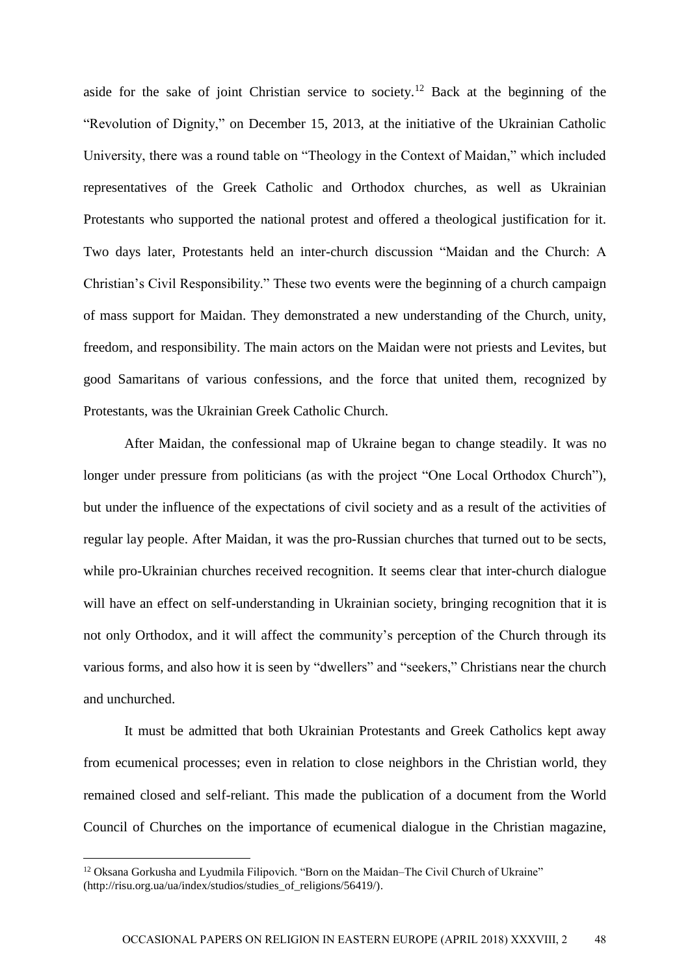aside for the sake of joint Christian service to society.<sup>12</sup> Back at the beginning of the "Revolution of Dignity," on December 15, 2013, at the initiative of the Ukrainian Catholic University, there was a round table on "Theology in the Context of Maidan," which included representatives of the Greek Catholic and Orthodox churches, as well as Ukrainian Protestants who supported the national protest and offered a theological justification for it. Two days later, Protestants held an inter-church discussion "Maidan and the Church: A Christian's Civil Responsibility." These two events were the beginning of a church campaign of mass support for Maidan. They demonstrated a new understanding of the Church, unity, freedom, and responsibility. The main actors on the Maidan were not priests and Levites, but good Samaritans of various confessions, and the force that united them, recognized by Protestants, was the Ukrainian Greek Catholic Church.

After Maidan, the confessional map of Ukraine began to change steadily. It was no longer under pressure from politicians (as with the project "One Local Orthodox Church"), but under the influence of the expectations of civil society and as a result of the activities of regular lay people. After Maidan, it was the pro-Russian churches that turned out to be sects, while pro-Ukrainian churches received recognition. It seems clear that inter-church dialogue will have an effect on self-understanding in Ukrainian society, bringing recognition that it is not only Orthodox, and it will affect the community's perception of the Church through its various forms, and also how it is seen by "dwellers" and "seekers," Christians near the church and unchurched.

It must be admitted that both Ukrainian Protestants and Greek Catholics kept away from ecumenical processes; even in relation to close neighbors in the Christian world, they remained closed and self-reliant. This made the publication of a document from the World Council of Churches on the importance of ecumenical dialogue in the Christian magazine,

<sup>&</sup>lt;sup>12</sup> Oksana Gorkusha and Lyudmila Filipovich. "Born on the Maidan–The Civil Church of Ukraine" (http://risu.org.ua/ua/index/studios/studies\_of\_religions/56419/).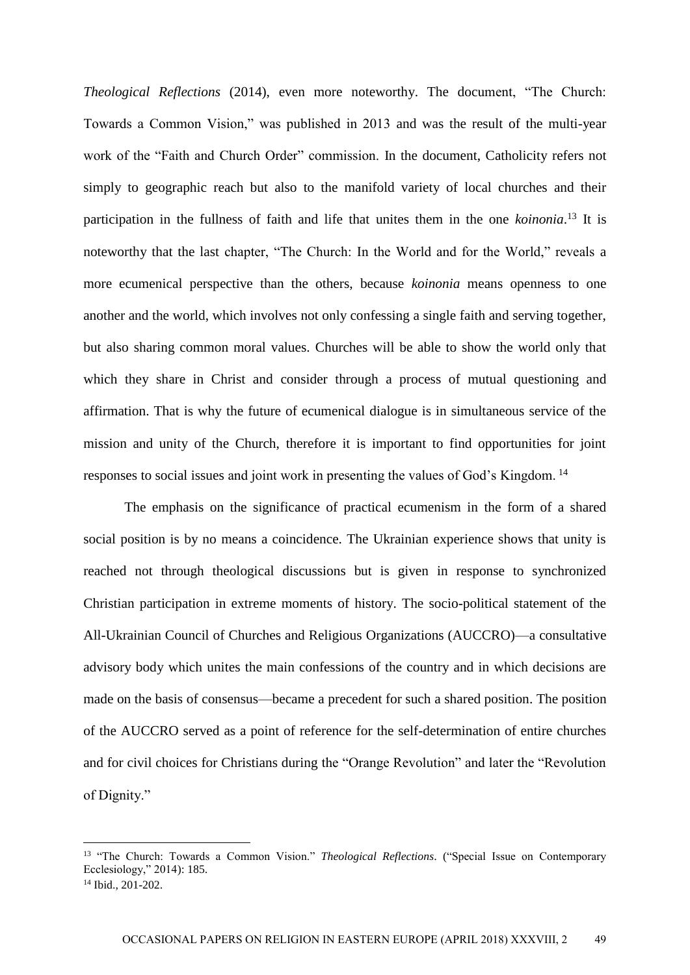*Theological Reflections* (2014), even more noteworthy. The document, "The Church: Towards a Common Vision," was published in 2013 and was the result of the multi-year work of the "Faith and Church Order" commission. In the document, Catholicity refers not simply to geographic reach but also to the manifold variety of local churches and their participation in the fullness of faith and life that unites them in the one *koinonia*. <sup>13</sup> It is noteworthy that the last chapter, "The Church: In the World and for the World," reveals a more ecumenical perspective than the others, because *koinonia* means openness to one another and the world, which involves not only confessing a single faith and serving together, but also sharing common moral values. Churches will be able to show the world only that which they share in Christ and consider through a process of mutual questioning and affirmation. That is why the future of ecumenical dialogue is in simultaneous service of the mission and unity of the Church, therefore it is important to find opportunities for joint responses to social issues and joint work in presenting the values of God's Kingdom. <sup>14</sup>

The emphasis on the significance of practical ecumenism in the form of a shared social position is by no means a coincidence. The Ukrainian experience shows that unity is reached not through theological discussions but is given in response to synchronized Christian participation in extreme moments of history. The socio-political statement of the All-Ukrainian Council of Churches and Religious Organizations (AUCCRO)—a consultative advisory body which unites the main confessions of the country and in which decisions are made on the basis of consensus—became a precedent for such a shared position. The position of the AUCCRO served as a point of reference for the self-determination of entire churches and for civil choices for Christians during the "Orange Revolution" and later the "Revolution of Dignity."

<sup>13</sup> "The Church: Towards a Common Vision." *Theological Reflections*. ("Special Issue on Contemporary Ecclesiology," 2014): 185.  $14$  Ibid., 201-202.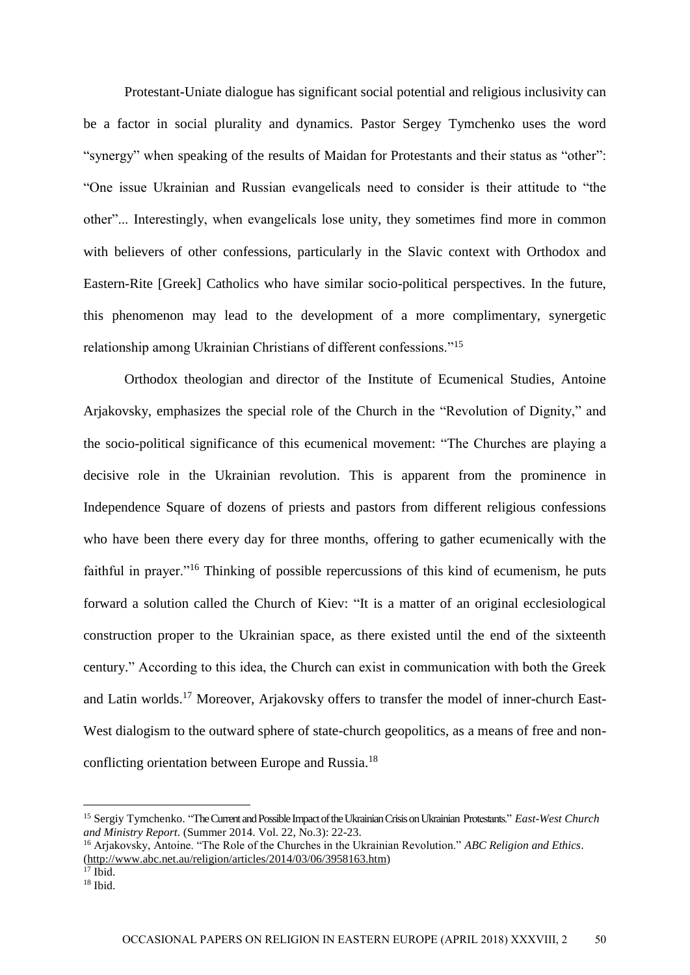Protestant-Uniate dialogue has significant social potential and religious inclusivity can be a factor in social plurality and dynamics. Pastor Sergey Tymchenko uses the word "synergy" when speaking of the results of Maidan for Protestants and their status as "other": "One issue Ukrainian and Russian evangelicals need to consider is their attitude to "the other"... Interestingly, when evangelicals lose unity, they sometimes find more in common with believers of other confessions, particularly in the Slavic context with Orthodox and Eastern-Rite [Greek] Catholics who have similar socio-political perspectives. In the future, this phenomenon may lead to the development of a more complimentary, synergetic relationship among Ukrainian Christians of different confessions."<sup>15</sup>

Orthodox theologian and director of the Institute of Ecumenical Studies, Antoine Arjakovsky, emphasizes the special role of the Church in the "Revolution of Dignity," and the socio-political significance of this ecumenical movement: "The Churches are playing a decisive role in the Ukrainian revolution. This is apparent from the prominence in Independence Square of dozens of priests and pastors from different religious confessions who have been there every day for three months, offering to gather ecumenically with the faithful in prayer."<sup>16</sup> Thinking of possible repercussions of this kind of ecumenism, he puts forward a solution called the Church of Kiev: "It is a matter of an original ecclesiological construction proper to the Ukrainian space, as there existed until the end of the sixteenth century." According to this idea, the Church can exist in communication with both the Greek and Latin worlds.<sup>17</sup> Moreover, Arjakovsky offers to transfer the model of inner-church East-West dialogism to the outward sphere of state-church geopolitics, as a means of free and nonconflicting orientation between Europe and Russia.<sup>18</sup>

<sup>&</sup>lt;sup>15</sup> Sergiy Tymchenko. "The Current and Possible Impact of the Ukrainian Crisis on Ukrainian Protestants." *East-West Church and Ministry Report*. (Summer 2014. Vol. 22, No.3): 22-23.

<sup>16</sup> Arjakovsky, Antoine. "The Role of the Churches in the Ukrainian Revolution." *ABC Religion and Ethics*. [\(http://www.abc.net.au/religion/articles/2014/03/06/3958163.htm\)](http://www.abc.net.au/religion/articles/2014/03/06/3958163.htm)

 $17$  Ibid.  $18$  Ibid.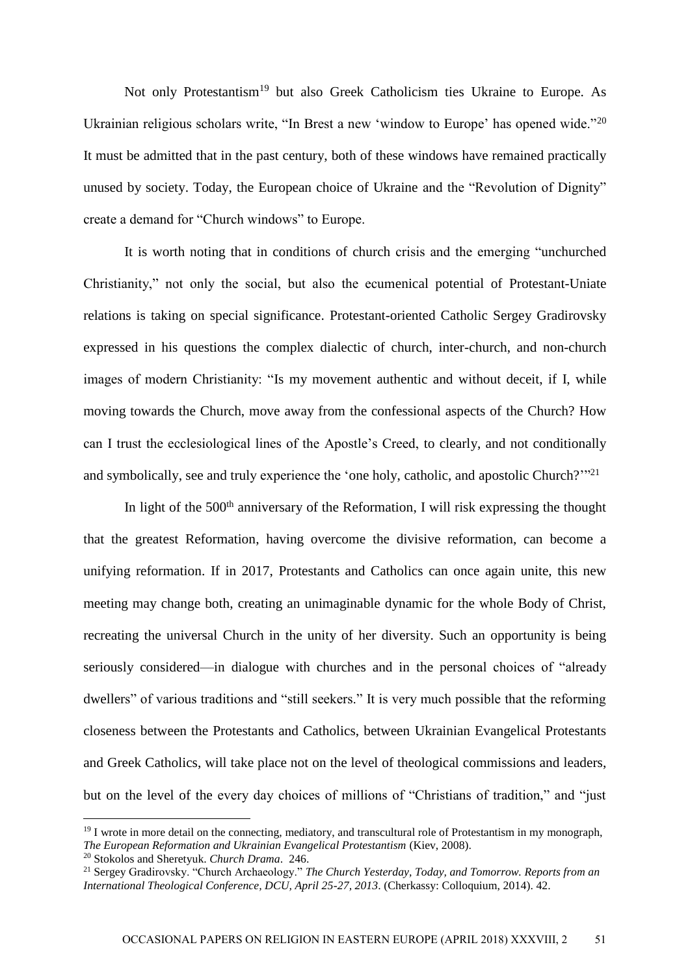Not only Protestantism<sup>19</sup> but also Greek Catholicism ties Ukraine to Europe. As Ukrainian religious scholars write, "In Brest a new 'window to Europe' has opened wide."<sup>20</sup> It must be admitted that in the past century, both of these windows have remained practically unused by society. Today, the European choice of Ukraine and the "Revolution of Dignity" create a demand for "Church windows" to Europe.

It is worth noting that in conditions of church crisis and the emerging "unchurched Christianity," not only the social, but also the ecumenical potential of Protestant-Uniate relations is taking on special significance. Protestant-oriented Catholic Sergey Gradirovsky expressed in his questions the complex dialectic of church, inter-church, and non-church images of modern Christianity: "Is my movement authentic and without deceit, if I, while moving towards the Church, move away from the confessional aspects of the Church? How can I trust the ecclesiological lines of the Apostle's Creed, to clearly, and not conditionally and symbolically, see and truly experience the 'one holy, catholic, and apostolic Church?"<sup>21</sup>

In light of the  $500<sup>th</sup>$  anniversary of the Reformation, I will risk expressing the thought that the greatest Reformation, having overcome the divisive reformation, can become a unifying reformation. If in 2017, Protestants and Catholics can once again unite, this new meeting may change both, creating an unimaginable dynamic for the whole Body of Christ, recreating the universal Church in the unity of her diversity. Such an opportunity is being seriously considered—in dialogue with churches and in the personal choices of "already dwellers" of various traditions and "still seekers." It is very much possible that the reforming closeness between the Protestants and Catholics, between Ukrainian Evangelical Protestants and Greek Catholics, will take place not on the level of theological commissions and leaders, but on the level of the every day choices of millions of "Christians of tradition," and "just

 $19$  I wrote in more detail on the connecting, mediatory, and transcultural role of Protestantism in my monograph, *The European Reformation and Ukrainian Evangelical Protestantism* (Kiev, 2008).

<sup>20</sup> Stokolos and Sheretyuk. *Church Drama*. 246.

<sup>21</sup> Sergey Gradirovsky. "Church Archaeology." *The Church Yesterday, Today, and Tomorrow. Reports from an International Theological Conference, DCU, April 25-27, 2013*. (Cherkassy: Colloquium, 2014). 42.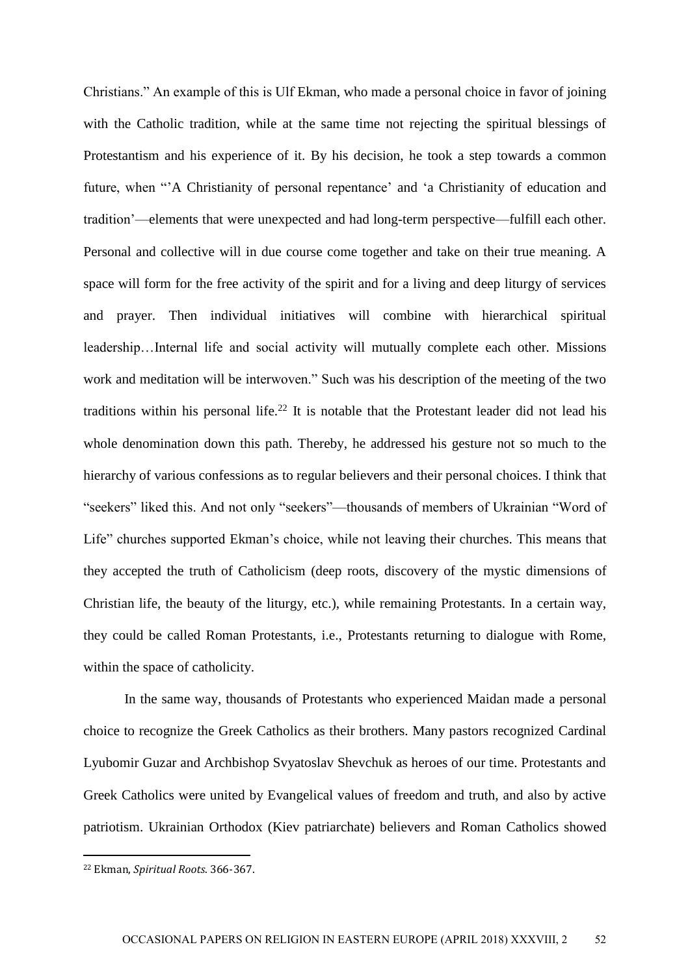Christians." An example of this is Ulf Ekman, who made a personal choice in favor of joining with the Catholic tradition, while at the same time not rejecting the spiritual blessings of Protestantism and his experience of it. By his decision, he took a step towards a common future, when "'A Christianity of personal repentance' and 'a Christianity of education and tradition'—elements that were unexpected and had long-term perspective—fulfill each other. Personal and collective will in due course come together and take on their true meaning. A space will form for the free activity of the spirit and for a living and deep liturgy of services and prayer. Then individual initiatives will combine with hierarchical spiritual leadership…Internal life and social activity will mutually complete each other. Missions work and meditation will be interwoven." Such was his description of the meeting of the two traditions within his personal life.<sup>22</sup> It is notable that the Protestant leader did not lead his whole denomination down this path. Thereby, he addressed his gesture not so much to the hierarchy of various confessions as to regular believers and their personal choices. I think that "seekers" liked this. And not only "seekers"—thousands of members of Ukrainian "Word of Life" churches supported Ekman's choice, while not leaving their churches. This means that they accepted the truth of Catholicism (deep roots, discovery of the mystic dimensions of Christian life, the beauty of the liturgy, etc.), while remaining Protestants. In a certain way, they could be called Roman Protestants, i.e., Protestants returning to dialogue with Rome, within the space of catholicity.

In the same way, thousands of Protestants who experienced Maidan made a personal choice to recognize the Greek Catholics as their brothers. Many pastors recognized Cardinal Lyubomir Guzar and Archbishop Svyatoslav Shevchuk as heroes of our time. Protestants and Greek Catholics were united by Evangelical values of freedom and truth, and also by active patriotism. Ukrainian Orthodox (Kiev patriarchate) believers and Roman Catholics showed

<sup>22</sup> Ekman, *Spiritual Roots*. 366-367.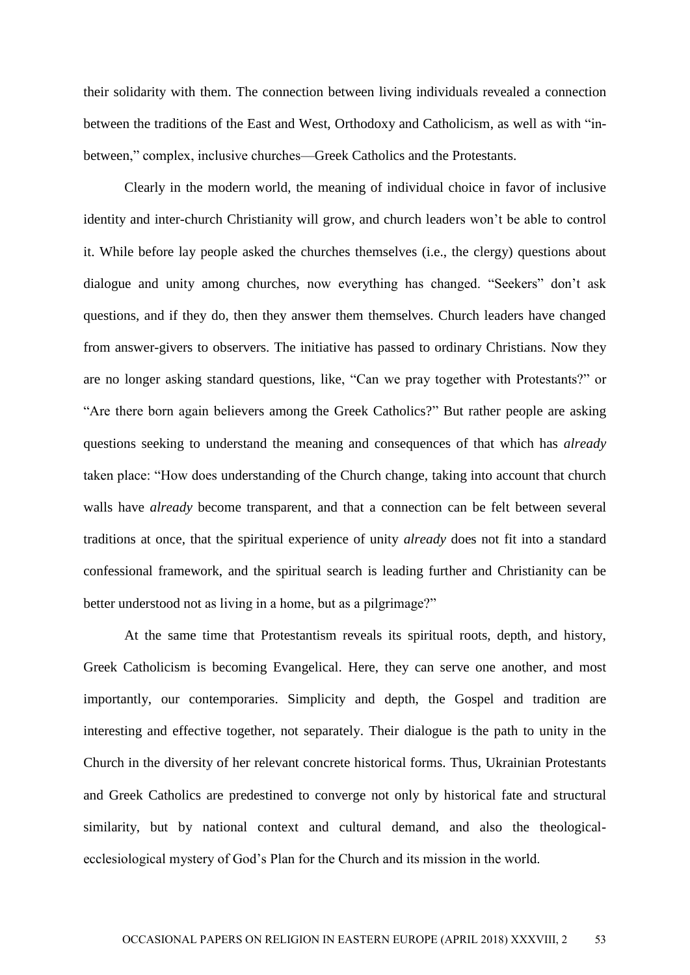their solidarity with them. The connection between living individuals revealed a connection between the traditions of the East and West, Orthodoxy and Catholicism, as well as with "inbetween," complex, inclusive churches—Greek Catholics and the Protestants.

Clearly in the modern world, the meaning of individual choice in favor of inclusive identity and inter-church Christianity will grow, and church leaders won't be able to control it. While before lay people asked the churches themselves (i.e., the clergy) questions about dialogue and unity among churches, now everything has changed. "Seekers" don't ask questions, and if they do, then they answer them themselves. Church leaders have changed from answer-givers to observers. The initiative has passed to ordinary Christians. Now they are no longer asking standard questions, like, "Can we pray together with Protestants?" or "Are there born again believers among the Greek Catholics?" But rather people are asking questions seeking to understand the meaning and consequences of that which has *already* taken place: "How does understanding of the Church change, taking into account that church walls have *already* become transparent, and that a connection can be felt between several traditions at once, that the spiritual experience of unity *already* does not fit into a standard confessional framework, and the spiritual search is leading further and Christianity can be better understood not as living in a home, but as a pilgrimage?"

At the same time that Protestantism reveals its spiritual roots, depth, and history, Greek Catholicism is becoming Evangelical. Here, they can serve one another, and most importantly, our contemporaries. Simplicity and depth, the Gospel and tradition are interesting and effective together, not separately. Their dialogue is the path to unity in the Church in the diversity of her relevant concrete historical forms. Thus, Ukrainian Protestants and Greek Catholics are predestined to converge not only by historical fate and structural similarity, but by national context and cultural demand, and also the theologicalecclesiological mystery of God's Plan for the Church and its mission in the world.